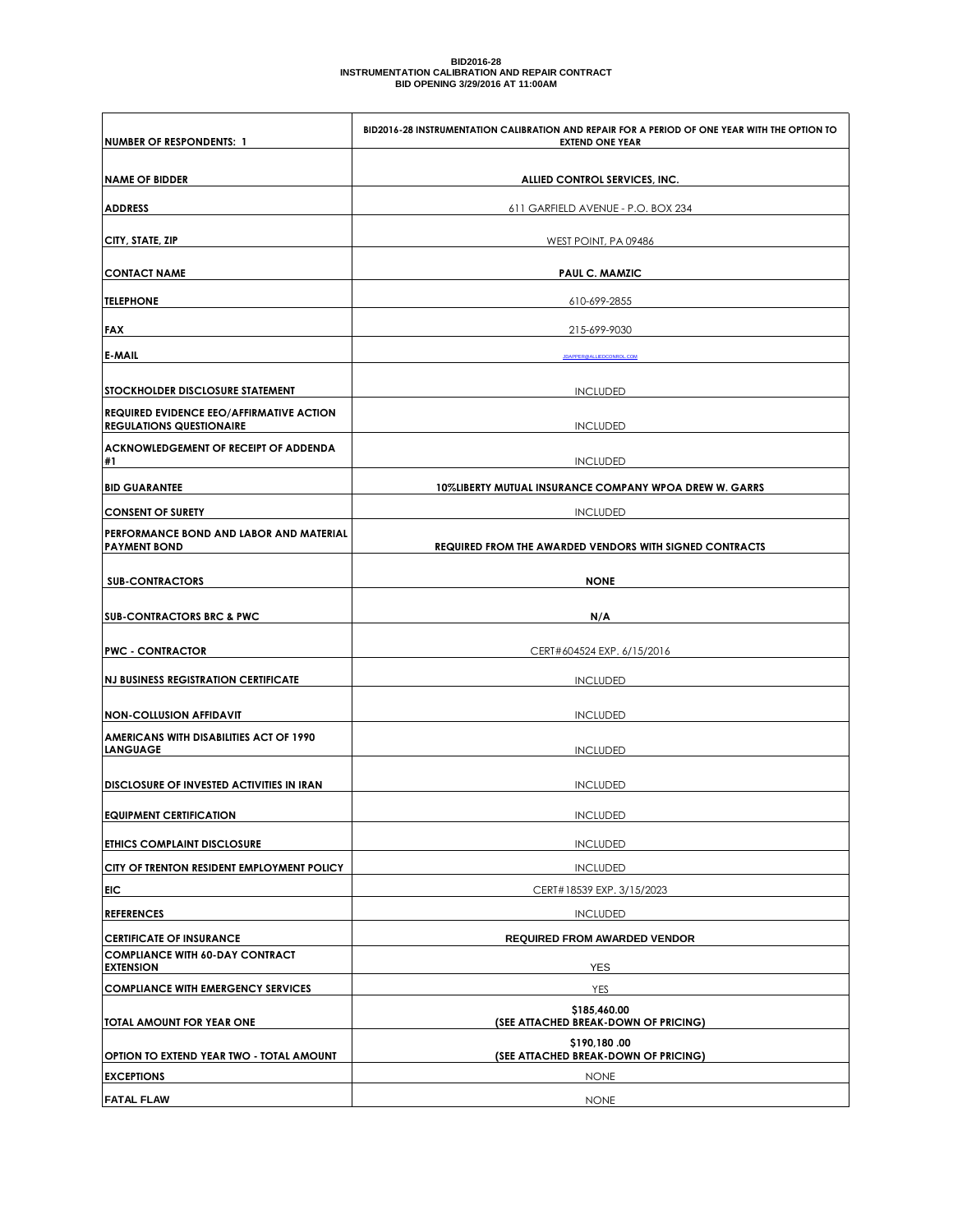## BID2016-28<br>INSTRUMENTATION CALIBRATION AND REPAIR CONTRACT<br>BID OPENING 3/29/2016 AT 11:00AM

| NUMBER OF RESPONDENTS: 1                                                           | BID2016-28 INSTRUMENTATION CALIBRATION AND REPAIR FOR A PERIOD OF ONE YEAR WITH THE OPTION TO<br><b>EXTEND ONE YEAR</b> |  |  |
|------------------------------------------------------------------------------------|-------------------------------------------------------------------------------------------------------------------------|--|--|
|                                                                                    |                                                                                                                         |  |  |
| <b>NAME OF BIDDER</b>                                                              | ALLIED CONTROL SERVICES, INC.                                                                                           |  |  |
| <b>ADDRESS</b>                                                                     | 611 GARFIELD AVENUE - P.O. BOX 234                                                                                      |  |  |
| CITY, STATE, ZIP                                                                   | WEST POINT, PA 09486                                                                                                    |  |  |
| <b>CONTACT NAME</b>                                                                | <b>PAUL C. MAMZIC</b>                                                                                                   |  |  |
| <b>TELEPHONE</b>                                                                   | 610-699-2855                                                                                                            |  |  |
| <b>FAX</b>                                                                         | 215-699-9030                                                                                                            |  |  |
| <b>E-MAIL</b>                                                                      | JDAPPER @ALLIEDCONROL.COM                                                                                               |  |  |
| <b>STOCKHOLDER DISCLOSURE STATEMENT</b>                                            | <b>INCLUDED</b>                                                                                                         |  |  |
| <b>REQUIRED EVIDENCE EEO/AFFIRMATIVE ACTION</b><br><b>REGULATIONS QUESTIONAIRE</b> | <b>INCLUDED</b>                                                                                                         |  |  |
| <b>ACKNOWLEDGEMENT OF RECEIPT OF ADDENDA</b>                                       |                                                                                                                         |  |  |
| #1                                                                                 | <b>INCLUDED</b>                                                                                                         |  |  |
| <b>BID GUARANTEE</b>                                                               | 10%LIBERTY MUTUAL INSURANCE COMPANY WPOA DREW W. GARRS                                                                  |  |  |
| <b>CONSENT OF SURETY</b>                                                           | <b>INCLUDED</b>                                                                                                         |  |  |
| PERFORMANCE BOND AND LABOR AND MATERIAL<br><b>PAYMENT BOND</b>                     | REQUIRED FROM THE AWARDED VENDORS WITH SIGNED CONTRACTS                                                                 |  |  |
| <b>SUB-CONTRACTORS</b>                                                             | <b>NONE</b>                                                                                                             |  |  |
|                                                                                    |                                                                                                                         |  |  |
| <b>SUB-CONTRACTORS BRC &amp; PWC</b>                                               | N/A                                                                                                                     |  |  |
| <b>PWC - CONTRACTOR</b>                                                            | CERT#604524 EXP. 6/15/2016                                                                                              |  |  |
| <b>NJ BUSINESS REGISTRATION CERTIFICATE</b>                                        | <b>INCLUDED</b>                                                                                                         |  |  |
|                                                                                    |                                                                                                                         |  |  |
| <b>NON-COLLUSION AFFIDAVIT</b><br><b>AMERICANS WITH DISABILITIES ACT OF 1990</b>   | <b>INCLUDED</b>                                                                                                         |  |  |
| LANGUAGE                                                                           | <b>INCLUDED</b>                                                                                                         |  |  |
| <b>DISCLOSURE OF INVESTED ACTIVITIES IN IRAN</b>                                   | <b>INCLUDED</b>                                                                                                         |  |  |
| <b>EQUIPMENT CERTIFICATION</b>                                                     | <b>INCLUDED</b>                                                                                                         |  |  |
| <b>ETHICS COMPLAINT DISCLOSURE</b>                                                 | <b>INCLUDED</b>                                                                                                         |  |  |
| CITY OF TRENTON RESIDENT EMPLOYMENT POLICY                                         | <b>INCLUDED</b>                                                                                                         |  |  |
| EIC                                                                                | CERT#18539 EXP. 3/15/2023                                                                                               |  |  |
| <b>REFERENCES</b>                                                                  | <b>INCLUDED</b>                                                                                                         |  |  |
| <b>CERTIFICATE OF INSURANCE</b><br><b>COMPLIANCE WITH 60-DAY CONTRACT</b>          | <b>REQUIRED FROM AWARDED VENDOR</b>                                                                                     |  |  |
| <b>EXTENSION</b>                                                                   | <b>YES</b>                                                                                                              |  |  |
| <b>COMPLIANCE WITH EMERGENCY SERVICES</b>                                          | YES                                                                                                                     |  |  |
| TOTAL AMOUNT FOR YEAR ONE                                                          | \$185,460.00                                                                                                            |  |  |
|                                                                                    | (SEE ATTACHED BREAK-DOWN OF PRICING)                                                                                    |  |  |
| OPTION TO EXTEND YEAR TWO - TOTAL AMOUNT                                           | \$190,180.00<br>(SEE ATTACHED BREAK-DOWN OF PRICING)                                                                    |  |  |
| <b>EXCEPTIONS</b>                                                                  | <b>NONE</b>                                                                                                             |  |  |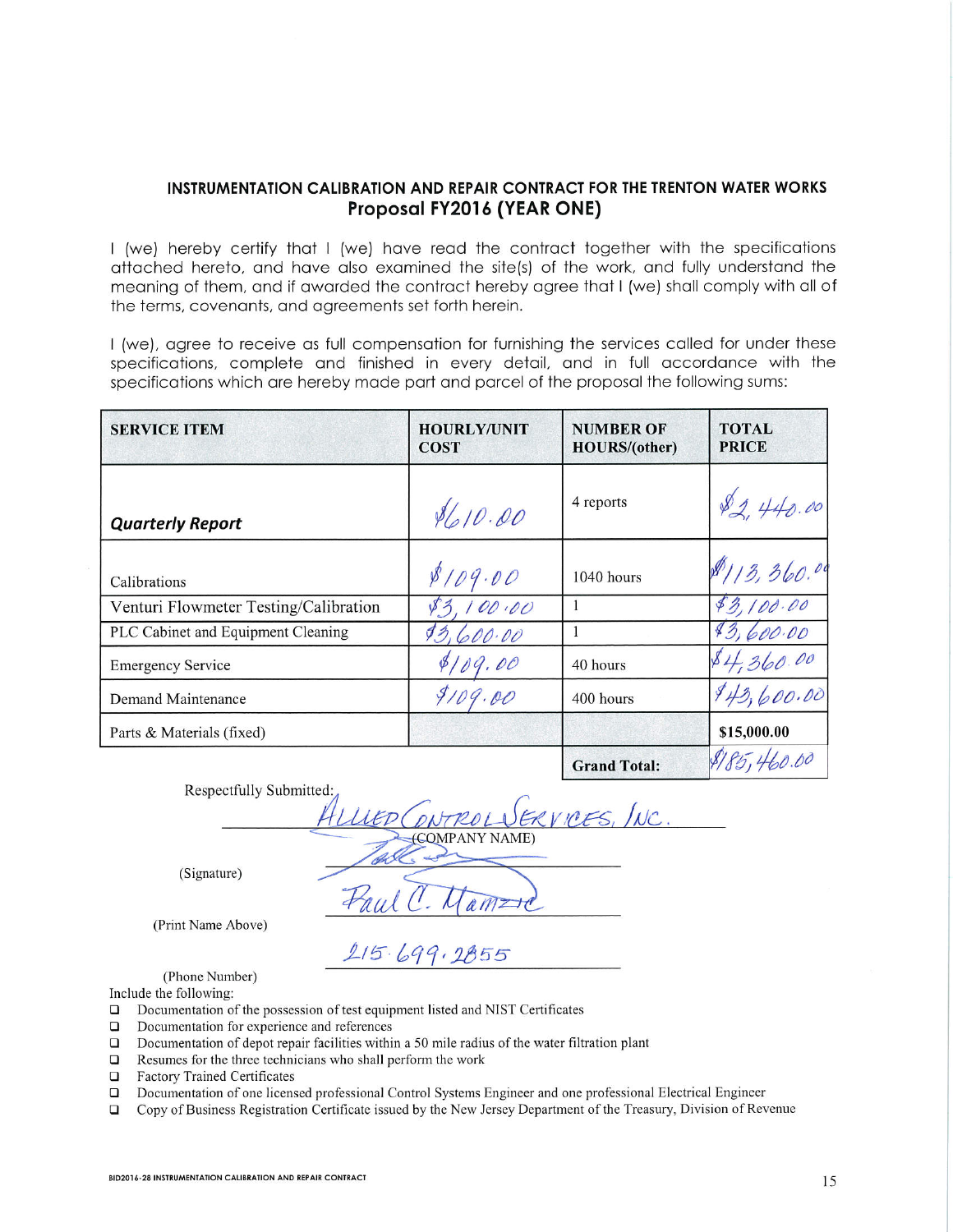## INSTRUMENTATION CALIBRATION AND REPAIR CONTRACT FOR THE TRENTON WATER WORKS Proposal FY2016 (YEAR ONE)

I (we) hereby certify that I (we) have read the contract together with the specifications attached hereto, and have also examined the site(s) of the work, and fully understand the meaning of them, and if awarded the contract hereby agree that I (we) shall comply with all of the terms, covenants, and agreements set forth herein.

I (we), agree to receive as full compensation for furnishing the services called for under these specifications, complete and finished in every detail, and in full accordance with the specifications which are hereby made part and parcel of the proposal the following sums:

| <b>SERVICE ITEM</b>                   | <b>HOURLY/UNIT</b><br><b>COST</b> | <b>NUMBER OF</b><br><b>HOURS/(other)</b> | <b>TOTAL</b><br><b>PRICE</b> |
|---------------------------------------|-----------------------------------|------------------------------------------|------------------------------|
| <b>Quarterly Report</b>               | \$610.00                          | 4 reports                                |                              |
| Calibrations                          | 8109.00                           | 1040 hours                               | 8113,360.00                  |
| Venturi Flowmeter Testing/Calibration | 00.00                             |                                          | 83,100.00                    |
| PLC Cabinet and Equipment Cleaning    | 00.00                             |                                          |                              |
| <b>Emergency Service</b>              |                                   | 40 hours                                 | 84,360.00                    |
| Demand Maintenance                    | 9109.00                           | 400 hours                                | 943,600.00                   |
| Parts & Materials (fixed)             |                                   |                                          | \$15,000.00                  |
|                                       |                                   | <b>Grand Total:</b>                      |                              |

Respectfully Submitted:

NAME)

(Signature)

(Print Name Above)

(Phone Number)

Include the following:

- Documentation of the possession of test equipment listed and NIST Certificates  $\Box$
- Documentation for experience and references  $\Box$
- $\Box$ Documentation of depot repair facilities within a 50 mile radius of the water filtration plant
- $\Box$ Resumes for the three technicians who shall perform the work
- $\Box$ **Factory Trained Certificates**
- Documentation of one licensed professional Control Systems Engineer and one professional Electrical Engineer  $\Box$
- Copy of Business Registration Certificate issued by the New Jersey Department of the Treasury, Division of Revenue  $\Box$